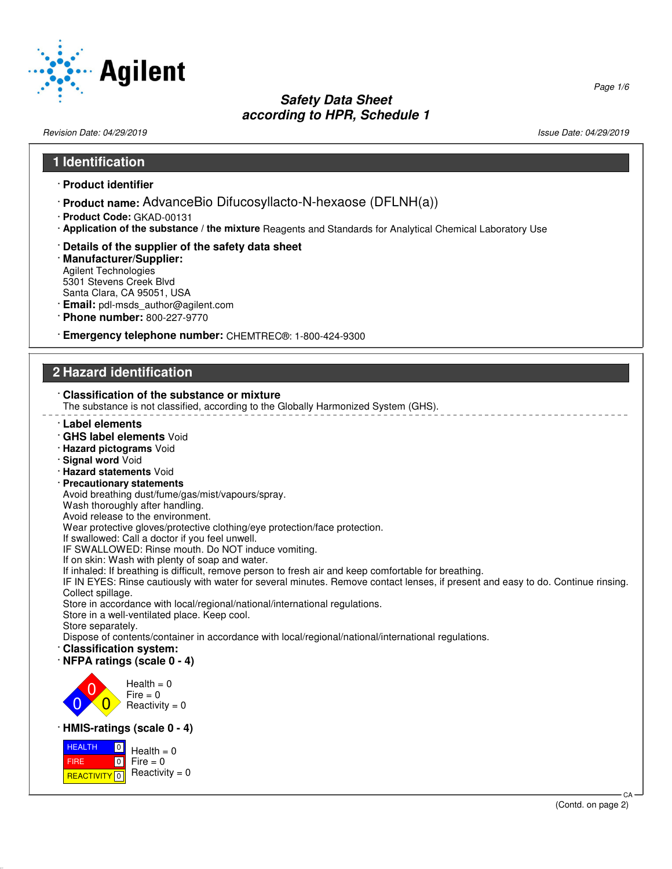

# **Safety Data Sheet**

#### **according to HPR, Schedule 1** Revision Date: 04/29/2019 **Issue Date: 04/29/2019** Issue Date: 04/29/2019 **1 Identification** · **Product identifier** · **Product name:** AdvanceBio Difucosyllacto-N-hexaose (DFLNH(a)) · **Product Code:** GKAD-00131 · **Application of the substance / the mixture** Reagents and Standards for Analytical Chemical Laboratory Use · **Details of the supplier of the safety data sheet** · **Manufacturer/Supplier:** Agilent Technologies 5301 Stevens Creek Blvd Santa Clara, CA 95051, USA · **Email:** pdl-msds\_author@agilent.com · **Phone number:** 800-227-9770 · **Emergency telephone number:** CHEMTREC®: 1-800-424-9300 **2 Hazard identification** · **Classification of the substance or mixture** The substance is not classified, according to the Globally Harmonized System (GHS). · **Label elements** · **GHS label elements** Void · **Hazard pictograms** Void · **Signal word** Void · **Hazard statements** Void · **Precautionary statements** Avoid breathing dust/fume/gas/mist/vapours/spray. Wash thoroughly after handling. Avoid release to the environment. Wear protective gloves/protective clothing/eye protection/face protection. If swallowed: Call a doctor if you feel unwell. IF SWALLOWED: Rinse mouth. Do NOT induce vomiting. If on skin: Wash with plenty of soap and water. If inhaled: If breathing is difficult, remove person to fresh air and keep comfortable for breathing. IF IN EYES: Rinse cautiously with water for several minutes. Remove contact lenses, if present and easy to do. Continue rinsing. Collect spillage. Store in accordance with local/regional/national/international regulations. Store in a well-ventilated place. Keep cool. Store separately. Dispose of contents/container in accordance with local/regional/national/international regulations. · **Classification system:** · **NFPA ratings (scale 0 - 4)** 0 0  $\overline{\mathbf{0}}$  $Health = 0$  $Fire = 0$ Reactivity  $= 0$ · **HMIS-ratings (scale 0 - 4)** HEALTH FIRE **REACTIVITY** 0  $\boxed{0}$  $\boxed{0}$  $Health = 0$  $Fire = 0$ Reactivity  $= 0$  CA (Contd. on page 2)

Page 1/6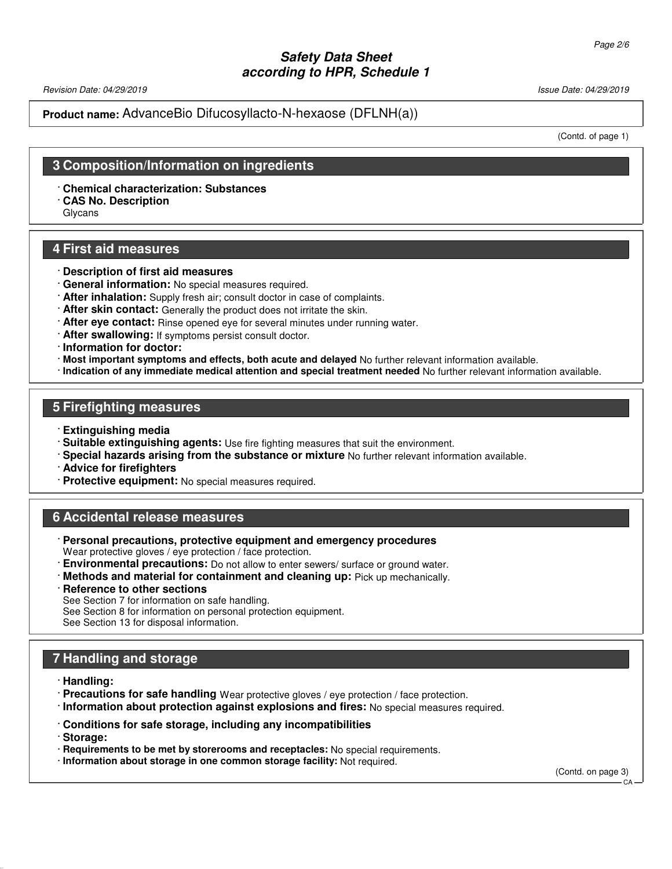Revision Date: 04/29/2019 **Issue Date: 04/29/2019** Issue Date: 04/29/2019

#### **Product name:** AdvanceBio Difucosyllacto-N-hexaose (DFLNH(a))

(Contd. of page 1)

## **3 Composition/Information on ingredients**

· **Chemical characterization: Substances**

· **CAS No. Description**

Glycans

## **4 First aid measures**

- · **Description of first aid measures**
- · **General information:** No special measures required.
- · **After inhalation:** Supply fresh air; consult doctor in case of complaints.
- · **After skin contact:** Generally the product does not irritate the skin.
- · **After eye contact:** Rinse opened eye for several minutes under running water.
- · **After swallowing:** If symptoms persist consult doctor.
- · **Information for doctor:**
- · **Most important symptoms and effects, both acute and delayed** No further relevant information available.
- · **Indication of any immediate medical attention and special treatment needed** No further relevant information available.

#### **5 Firefighting measures**

- · **Extinguishing media**
- · **Suitable extinguishing agents:** Use fire fighting measures that suit the environment.
- · **Special hazards arising from the substance or mixture** No further relevant information available.
- · **Advice for firefighters**
- · **Protective equipment:** No special measures required.

#### **6 Accidental release measures**

- · **Personal precautions, protective equipment and emergency procedures** Wear protective gloves / eye protection / face protection.
- · **Environmental precautions:** Do not allow to enter sewers/ surface or ground water.
- · **Methods and material for containment and cleaning up:** Pick up mechanically.
- · **Reference to other sections**

See Section 7 for information on safe handling.

See Section 8 for information on personal protection equipment.

See Section 13 for disposal information.

## **7 Handling and storage**

· **Handling:**

- · **Precautions for safe handling** Wear protective gloves / eye protection / face protection.
- · **Information about protection against explosions and fires:** No special measures required.
- · **Conditions for safe storage, including any incompatibilities**

· **Storage:**

- · **Requirements to be met by storerooms and receptacles:** No special requirements.
- · **Information about storage in one common storage facility:** Not required.

(Contd. on page 3)

CA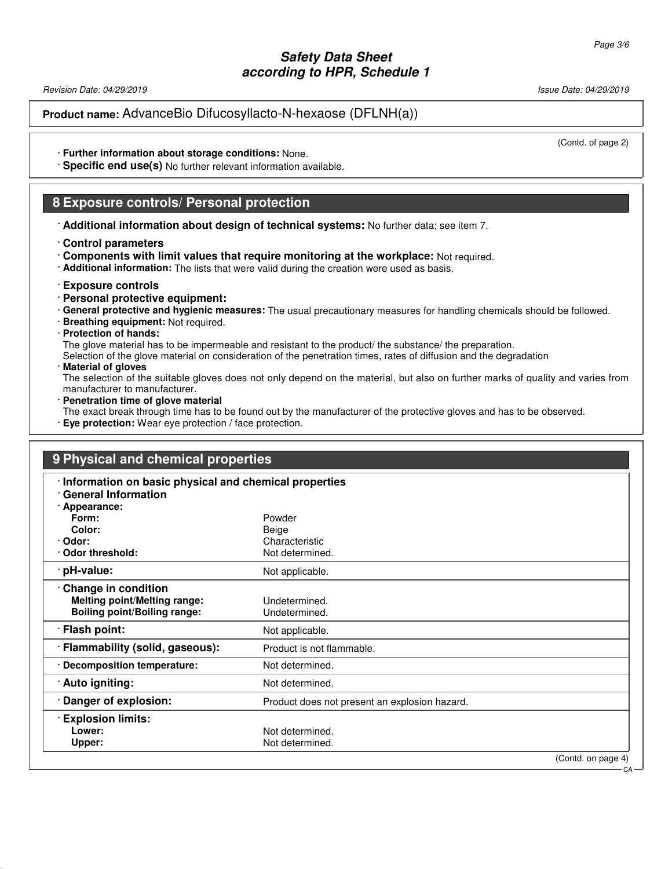Revision Date: 04/29/2019 **Issue Date: 04/29/2019** Issue Date: 04/29/2019

**Product name:** AdvanceBio Difucosyllacto-N-hexaose (DFLNH(a))

(Contd. of page 2)

CA

- · **Further information about storage conditions:** None.
- · **Specific end use(s)** No further relevant information available.

#### **8 Exposure controls/ Personal protection**

- · **Additional information about design of technical systems:** No further data; see item 7.
- · **Control parameters**
- · **Components with limit values that require monitoring at the workplace:** Not required.
- · **Additional information:** The lists that were valid during the creation were used as basis.
- · **Exposure controls**
- · **Personal protective equipment:**
- · **General protective and hygienic measures:** The usual precautionary measures for handling chemicals should be followed.
- · **Breathing equipment:** Not required.
- · **Protection of hands:**

The glove material has to be impermeable and resistant to the product/ the substance/ the preparation.

- Selection of the glove material on consideration of the penetration times, rates of diffusion and the degradation
- · **Material of gloves**

The selection of the suitable gloves does not only depend on the material, but also on further marks of quality and varies from manufacturer to manufacturer.

- · **Penetration time of glove material**
- The exact break through time has to be found out by the manufacturer of the protective gloves and has to be observed.
- · **Eye protection:** Wear eye protection / face protection.

## **9 Physical and chemical properties**

| Information on basic physical and chemical properties<br><b>General Information</b>               |                                               |                    |
|---------------------------------------------------------------------------------------------------|-----------------------------------------------|--------------------|
| · Appearance:                                                                                     |                                               |                    |
| Form:                                                                                             | Powder                                        |                    |
| Color:                                                                                            | Beige                                         |                    |
| · Odor:                                                                                           | Characteristic                                |                    |
| Odor threshold:                                                                                   | Not determined.                               |                    |
| · pH-value:                                                                                       | Not applicable.                               |                    |
| Change in condition<br><b>Melting point/Melting range:</b><br><b>Boiling point/Boiling range:</b> | Undetermined.<br>Undetermined.                |                    |
| · Flash point:                                                                                    | Not applicable.                               |                    |
| · Flammability (solid, gaseous):                                                                  | Product is not flammable.                     |                    |
| · Decomposition temperature:                                                                      | Not determined.                               |                    |
| · Auto igniting:                                                                                  | Not determined.                               |                    |
| Danger of explosion:                                                                              | Product does not present an explosion hazard. |                    |
| <b>Explosion limits:</b>                                                                          |                                               |                    |
| Lower:                                                                                            | Not determined.                               |                    |
| Upper:                                                                                            | Not determined.                               |                    |
|                                                                                                   |                                               | (Contd. on page 4) |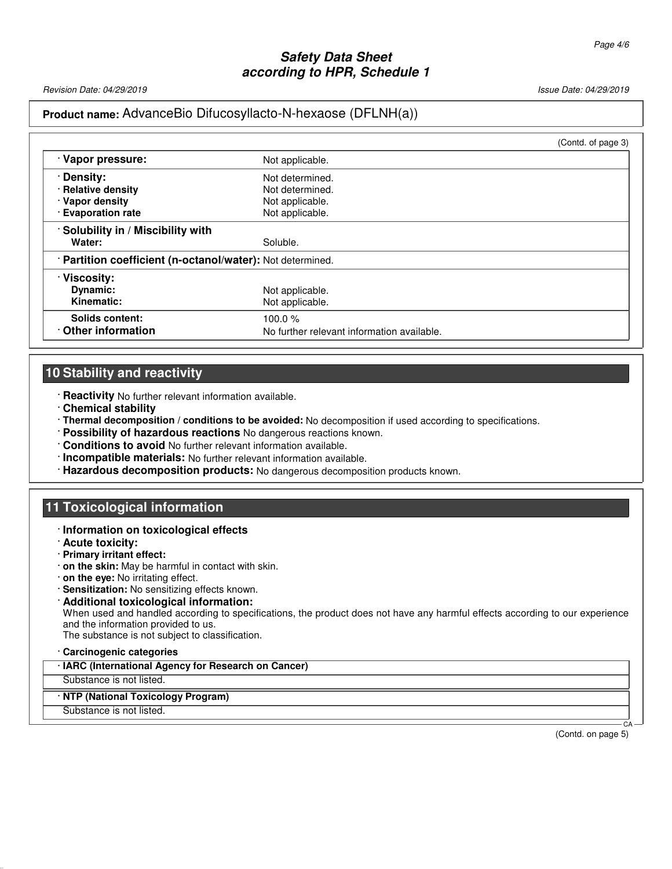Revision Date: 04/29/2019 Issue Date: 04/29/2019

## **Product name:** AdvanceBio Difucosyllacto-N-hexaose (DFLNH(a))

|                                                            |                                            | (Contd. of page 3) |
|------------------------------------------------------------|--------------------------------------------|--------------------|
| · Vapor pressure:                                          | Not applicable.                            |                    |
| <b>Density:</b>                                            | Not determined.                            |                    |
| · Relative density                                         | Not determined.                            |                    |
| · Vapor density                                            | Not applicable.                            |                    |
| · Evaporation rate                                         | Not applicable.                            |                    |
| Solubility in / Miscibility with                           |                                            |                    |
| Water:                                                     | Soluble.                                   |                    |
| · Partition coefficient (n-octanol/water): Not determined. |                                            |                    |
| · Viscosity:                                               |                                            |                    |
| Dynamic:                                                   | Not applicable.                            |                    |
| Kinematic:                                                 | Not applicable.                            |                    |
| Solids content:                                            | 100.0 $%$                                  |                    |
| Other information                                          | No further relevant information available. |                    |

# **10 Stability and reactivity**

- · **Reactivity** No further relevant information available.
- · **Chemical stability**
- · **Thermal decomposition / conditions to be avoided:** No decomposition if used according to specifications.
- · **Possibility of hazardous reactions** No dangerous reactions known.
- · **Conditions to avoid** No further relevant information available.
- · **Incompatible materials:** No further relevant information available.
- · **Hazardous decomposition products:** No dangerous decomposition products known.

## **11 Toxicological information**

- · **Information on toxicological effects**
- · **Acute toxicity:**
- · **Primary irritant effect:**
- · **on the skin:** May be harmful in contact with skin.
- · **on the eye:** No irritating effect.
- · **Sensitization:** No sensitizing effects known.
- · **Additional toxicological information:** When used and handled according to specifications, the product does not have any harmful effects according to our experience and the information provided to us. The substance is not subject to classification.

· **Carcinogenic categories**

· **IARC (International Agency for Research on Cancer)**

Substance is not listed.

#### · **NTP (National Toxicology Program)**

Substance is not listed.

(Contd. on page 5)

CA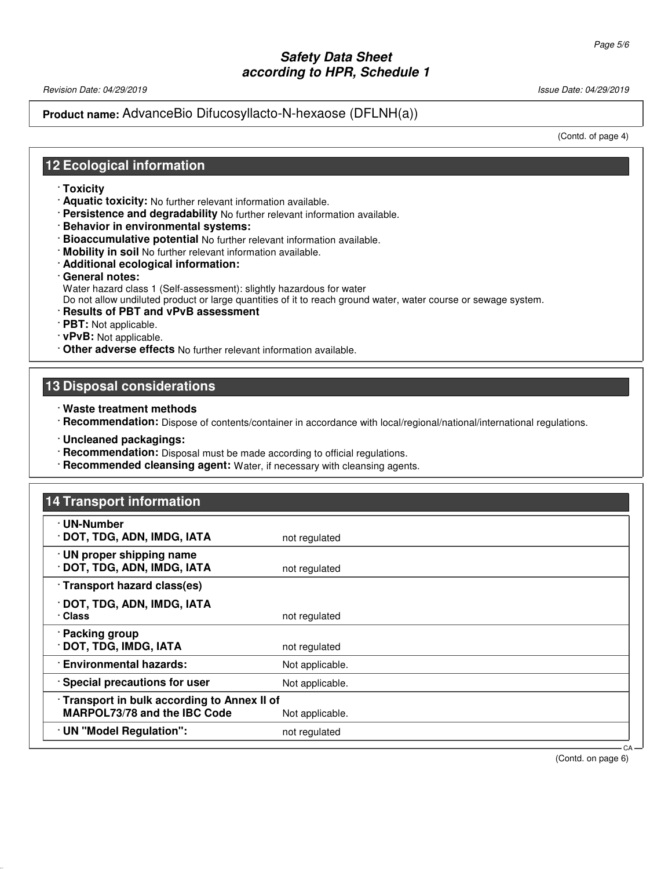Revision Date: 04/29/2019 **Issue Date: 04/29/2019** Issue Date: 04/29/2019

#### **Product name:** AdvanceBio Difucosyllacto-N-hexaose (DFLNH(a))

(Contd. of page 4)

## **12 Ecological information**

- · **Toxicity**
- · **Aquatic toxicity:** No further relevant information available.
- · **Persistence and degradability** No further relevant information available.
- · **Behavior in environmental systems:**
- · **Bioaccumulative potential** No further relevant information available.
- · **Mobility in soil** No further relevant information available.
- · **Additional ecological information:**
- · **General notes:**

Water hazard class 1 (Self-assessment): slightly hazardous for water

Do not allow undiluted product or large quantities of it to reach ground water, water course or sewage system.

- · **Results of PBT and vPvB assessment**
- · **PBT:** Not applicable.
- · **vPvB:** Not applicable.
- · **Other adverse effects** No further relevant information available.

#### **13 Disposal considerations**

- · **Waste treatment methods**
- · **Recommendation:** Dispose of contents/container in accordance with local/regional/national/international regulations.
- · **Uncleaned packagings:**
- · **Recommendation:** Disposal must be made according to official regulations.
- · **Recommended cleansing agent:** Water, if necessary with cleansing agents.

## **14 Transport information**

| · UN-Number                                                                       |                 |     |
|-----------------------------------------------------------------------------------|-----------------|-----|
| DOT, TDG, ADN, IMDG, IATA                                                         | not regulated   |     |
| · UN proper shipping name<br>DOT, TDG, ADN, IMDG, IATA                            | not regulated   |     |
| · Transport hazard class(es)                                                      |                 |     |
| · DOT, TDG, ADN, IMDG, IATA<br>· Class                                            | not regulated   |     |
| · Packing group<br>· DOT, TDG, IMDG, IATA                                         | not regulated   |     |
| <b>Environmental hazards:</b>                                                     | Not applicable. |     |
| Special precautions for user                                                      | Not applicable. |     |
| Transport in bulk according to Annex II of<br><b>MARPOL73/78 and the IBC Code</b> | Not applicable. |     |
| · UN "Model Regulation":                                                          | not regulated   |     |
|                                                                                   |                 | CA- |

(Contd. on page 6)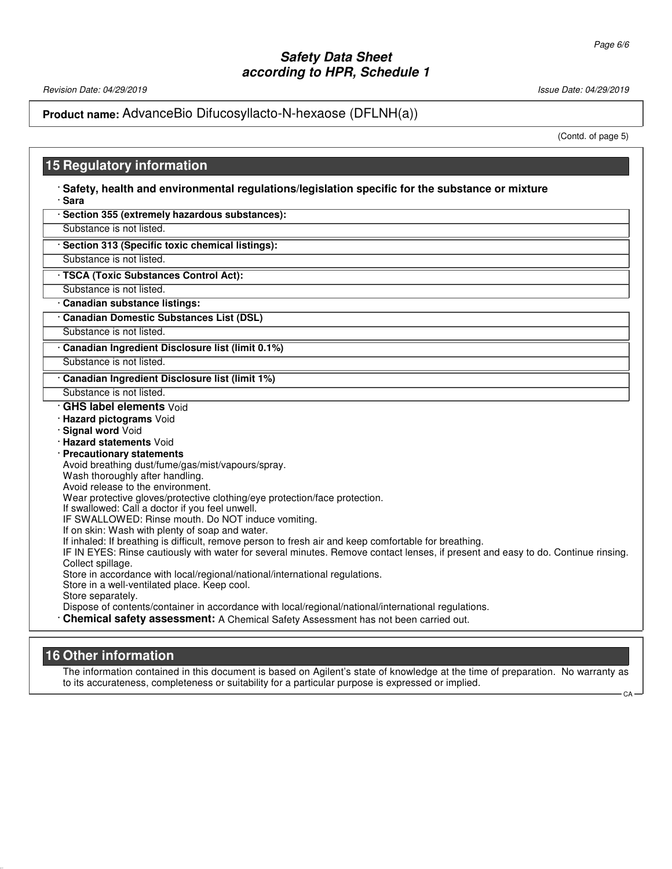Revision Date: 04/29/2019 1992/07/2019 1992/07/2019 1992/07/2019 1992/07/2019 1992/07/2019

# **Product name:** AdvanceBio Difucosyllacto-N-hexaose (DFLNH(a))

(Contd. of page 5)

 $CA$ 

# **15 Regulatory information**

The information contained in this document is based on Agilent's state of knowledge at the time of preparation. No warranty as to its accurateness, completeness or suitability for a particular purpose is expressed or implied.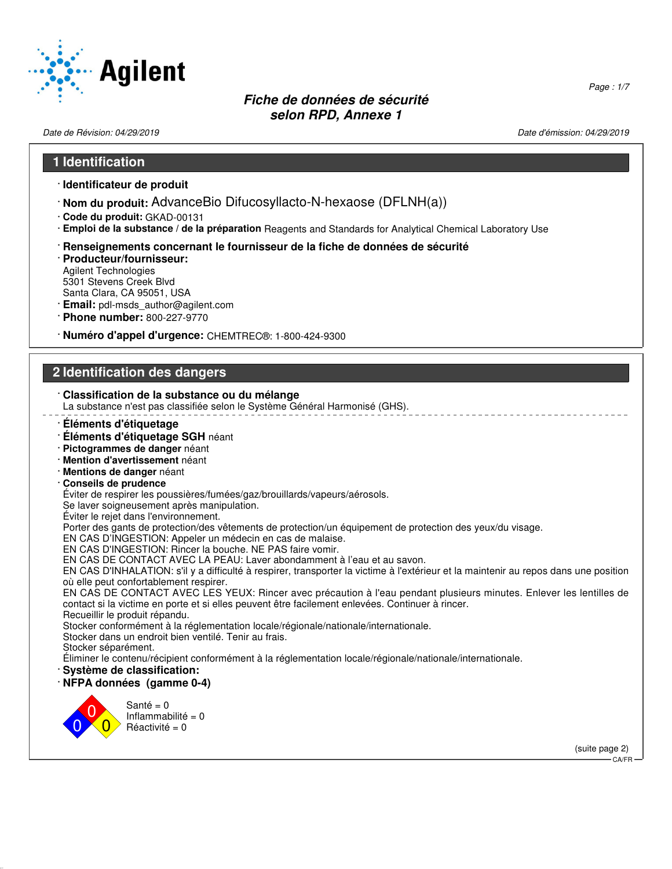

Date de Révision: 04/29/2019 Date d'émission: 04/29/2019

Page : 1/7

#### **1 Identification**

- · **Identificateur de produit**
- · **Nom du produit:** AdvanceBio Difucosyllacto-N-hexaose (DFLNH(a))
- · **Code du produit:** GKAD-00131
- · **Emploi de la substance / de la préparation** Reagents and Standards for Analytical Chemical Laboratory Use
- · **Renseignements concernant le fournisseur de la fiche de données de sécurité**
- · **Producteur/fournisseur:** Agilent Technologies 5301 Stevens Creek Blvd Santa Clara, CA 95051, USA
- · **Email:** pdl-msds\_author@agilent.com
- · **Phone number:** 800-227-9770
- · **Numéro d'appel d'urgence:** CHEMTREC®: 1-800-424-9300

## **2 Identification des dangers**

#### · **Classification de la substance ou du mélange** La substance n'est pas classifiée selon le Système Général Harmonisé (GHS). · **Éléments d'étiquetage** · **Éléments d'étiquetage SGH** néant · **Pictogrammes de danger** néant · **Mention d'avertissement** néant · **Mentions de danger** néant · **Conseils de prudence** Éviter de respirer les poussières/fumées/gaz/brouillards/vapeurs/aérosols. Se laver soigneusement après manipulation. Éviter le rejet dans l'environnement. Porter des gants de protection/des vêtements de protection/un équipement de protection des yeux/du visage. EN CAS D'INGESTION: Appeler un médecin en cas de malaise. EN CAS D'INGESTION: Rincer la bouche. NE PAS faire vomir. EN CAS DE CONTACT AVEC LA PEAU: Laver abondamment à l'eau et au savon. EN CAS D'INHALATION: s'il y a difficulté à respirer, transporter la victime à l'extérieur et la maintenir au repos dans une position où elle peut confortablement respirer. EN CAS DE CONTACT AVEC LES YEUX: Rincer avec précaution à l'eau pendant plusieurs minutes. Enlever les lentilles de contact si la victime en porte et si elles peuvent être facilement enlevées. Continuer à rincer. Recueillir le produit répandu. Stocker conformément à la réglementation locale/régionale/nationale/internationale. Stocker dans un endroit bien ventilé. Tenir au frais. Stocker séparément. Éliminer le contenu/récipient conformément à la réglementation locale/régionale/nationale/internationale. · **Système de classification:** · **NFPA données (gamme 0-4)** 0 0  $\overline{\mathbf{0}}$ Santé =  $0$ Inflammabilité = 0  $Réactivité = 0$

(suite page 2)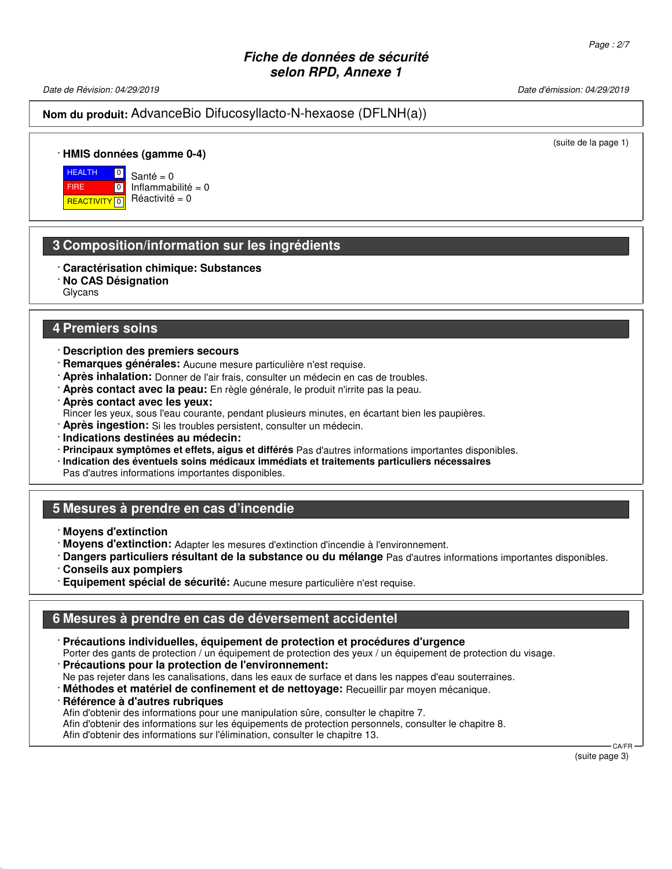Date de Révision: 04/29/2019 Date d'émission: 04/29/2019

**Nom du produit:** AdvanceBio Difucosyllacto-N-hexaose (DFLNH(a))

(suite de la page 1)

#### · **HMIS données (gamme 0-4)**

**HEALTH**  FIRE **REACTIVITY** 0  $\boxed{0}$ 

 $\boxed{0}$ Santé =  $0$ Inflammabilité = 0  $Réactivité = 0$ 

## **3 Composition/information sur les ingrédients**

- · **Caractérisation chimique: Substances**
- · **No CAS Désignation**

Glycans

#### **4 Premiers soins**

- · **Description des premiers secours**
- · **Remarques générales:** Aucune mesure particulière n'est requise.
- · **Après inhalation:** Donner de l'air frais, consulter un médecin en cas de troubles.
- · **Après contact avec la peau:** En règle générale, le produit n'irrite pas la peau.
- · **Après contact avec les yeux:**
- Rincer les yeux, sous l'eau courante, pendant plusieurs minutes, en écartant bien les paupières.
- · **Après ingestion:** Si les troubles persistent, consulter un médecin.
- · **Indications destinées au médecin:**
- · **Principaux symptômes et effets, aigus et différés** Pas d'autres informations importantes disponibles.
- · **Indication des éventuels soins médicaux immédiats et traitements particuliers nécessaires**

Pas d'autres informations importantes disponibles.

## **5 Mesures à prendre en cas d'incendie**

- · **Moyens d'extinction**
- · **Moyens d'extinction:** Adapter les mesures d'extinction d'incendie à l'environnement.
- · **Dangers particuliers résultant de la substance ou du mélange** Pas d'autres informations importantes disponibles.
- · **Conseils aux pompiers**
- · **Equipement spécial de sécurité:** Aucune mesure particulière n'est requise.

## **6 Mesures à prendre en cas de déversement accidentel**

- · **Précautions individuelles, équipement de protection et procédures d'urgence** Porter des gants de protection / un équipement de protection des yeux / un équipement de protection du visage.
- · **Précautions pour la protection de l'environnement:** Ne pas rejeter dans les canalisations, dans les eaux de surface et dans les nappes d'eau souterraines.
- · **Méthodes et matériel de confinement et de nettoyage:** Recueillir par moyen mécanique.

· **Référence à d'autres rubriques**

Afin d'obtenir des informations pour une manipulation sûre, consulter le chapitre 7.

Afin d'obtenir des informations sur les équipements de protection personnels, consulter le chapitre 8.

Afin d'obtenir des informations sur l'élimination, consulter le chapitre 13.

(suite page 3)

CA/FR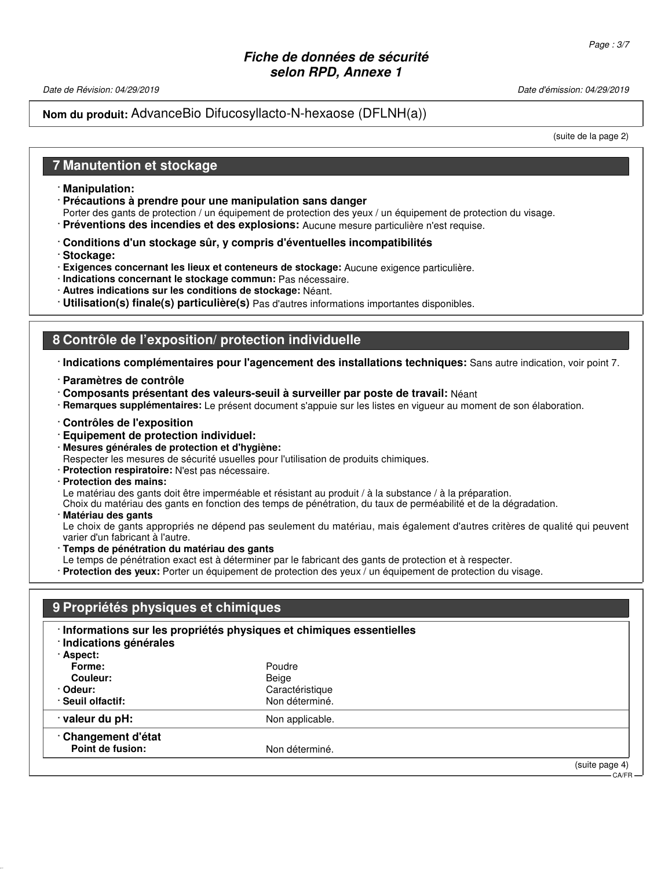Date de Révision: 04/29/2019 Date d'émission: 04/29/2019

## **Nom du produit:** AdvanceBio Difucosyllacto-N-hexaose (DFLNH(a))

(suite de la page 2)

## **7 Manutention et stockage**

- · **Manipulation:**
- · **Précautions à prendre pour une manipulation sans danger**
- Porter des gants de protection / un équipement de protection des yeux / un équipement de protection du visage.
- · **Préventions des incendies et des explosions:** Aucune mesure particulière n'est requise.
- · **Conditions d'un stockage sûr, y compris d'éventuelles incompatibilités**
- · **Stockage:**
- · **Exigences concernant les lieux et conteneurs de stockage:** Aucune exigence particulière.
- · **Indications concernant le stockage commun:** Pas nécessaire.
- · **Autres indications sur les conditions de stockage:** Néant.
- · **Utilisation(s) finale(s) particulière(s)** Pas d'autres informations importantes disponibles.

# **8 Contrôle de l'exposition/ protection individuelle**

- · **Indications complémentaires pour l'agencement des installations techniques:** Sans autre indication, voir point 7.
- · **Paramètres de contrôle**
- · **Composants présentant des valeurs-seuil à surveiller par poste de travail:** Néant
- · **Remarques supplémentaires:** Le présent document s'appuie sur les listes en vigueur au moment de son élaboration.
- · **Contrôles de l'exposition**
- · **Equipement de protection individuel:**
- · **Mesures générales de protection et d'hygiène:**
- Respecter les mesures de sécurité usuelles pour l'utilisation de produits chimiques.
- · **Protection respiratoire:** N'est pas nécessaire.
- · **Protection des mains:**

Le matériau des gants doit être imperméable et résistant au produit / à la substance / à la préparation.

Choix du matériau des gants en fonction des temps de pénétration, du taux de perméabilité et de la dégradation.

· **Matériau des gants**

Le choix de gants appropriés ne dépend pas seulement du matériau, mais également d'autres critères de qualité qui peuvent varier d'un fabricant à l'autre.

- · **Temps de pénétration du matériau des gants**
- Le temps de pénétration exact est à déterminer par le fabricant des gants de protection et à respecter.
- · **Protection des yeux:** Porter un équipement de protection des yeux / un équipement de protection du visage.

| Poudre          |                          |
|-----------------|--------------------------|
|                 |                          |
|                 |                          |
| Non déterminé.  |                          |
| Non applicable. |                          |
|                 |                          |
| Non déterminé.  |                          |
|                 | Beige<br>Caractéristique |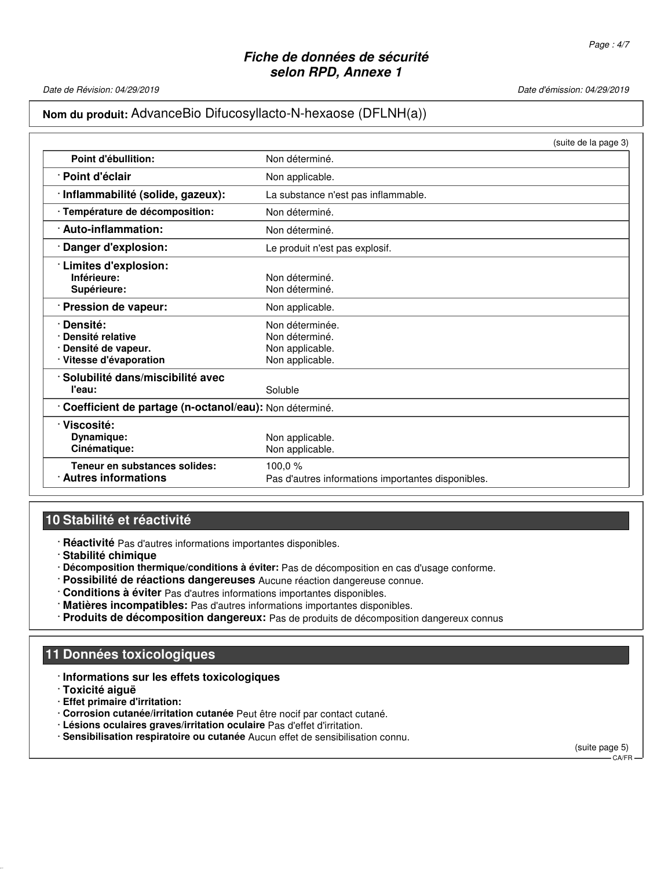Date de Révision: 04/29/2019 Date d'émission: 04/29/2019

#### **Nom du produit:** AdvanceBio Difucosyllacto-N-hexaose (DFLNH(a))

|                                                                               | (suite de la page 3)                                                    |
|-------------------------------------------------------------------------------|-------------------------------------------------------------------------|
| Point d'ébullition:                                                           | Non déterminé.                                                          |
| · Point d'éclair                                                              | Non applicable.                                                         |
| · Inflammabilité (solide, gazeux):                                            | La substance n'est pas inflammable.                                     |
| · Température de décomposition:                                               | Non déterminé.                                                          |
| · Auto-inflammation:                                                          | Non déterminé.                                                          |
| Danger d'explosion:                                                           | Le produit n'est pas explosif.                                          |
| · Limites d'explosion:<br>Inférieure:<br>Supérieure:                          | Non déterminé.<br>Non déterminé.                                        |
| · Pression de vapeur:                                                         | Non applicable.                                                         |
| Densité:<br>Densité relative<br>Densité de vapeur.<br>· Vitesse d'évaporation | Non déterminée.<br>Non déterminé.<br>Non applicable.<br>Non applicable. |
| · Solubilité dans/miscibilité avec                                            |                                                                         |
| l'eau:                                                                        | Soluble                                                                 |
| Coefficient de partage (n-octanol/eau): Non déterminé.                        |                                                                         |
| · Viscosité:<br>Dynamique:<br>Cinématique:                                    | Non applicable.<br>Non applicable.                                      |
| Teneur en substances solides:<br>$\cdot$ Autres informations                  | 100,0%<br>Pas d'autres informations importantes disponibles.            |

# **10 Stabilité et réactivité**

- · **Réactivité** Pas d'autres informations importantes disponibles.
- · **Stabilité chimique**
- · **Décomposition thermique/conditions à éviter:** Pas de décomposition en cas d'usage conforme.
- · **Possibilité de réactions dangereuses** Aucune réaction dangereuse connue.
- · **Conditions à éviter** Pas d'autres informations importantes disponibles.
- · **Matières incompatibles:** Pas d'autres informations importantes disponibles.
- · **Produits de décomposition dangereux:** Pas de produits de décomposition dangereux connus

# **11 Données toxicologiques**

- · **Informations sur les effets toxicologiques**
- · **Toxicité aiguë**
- · **Effet primaire d'irritation:**
- · **Corrosion cutanée/irritation cutanée** Peut être nocif par contact cutané.
- · **Lésions oculaires graves/irritation oculaire** Pas d'effet d'irritation.
- · **Sensibilisation respiratoire ou cutanée** Aucun effet de sensibilisation connu.

(suite page 5) CA/FR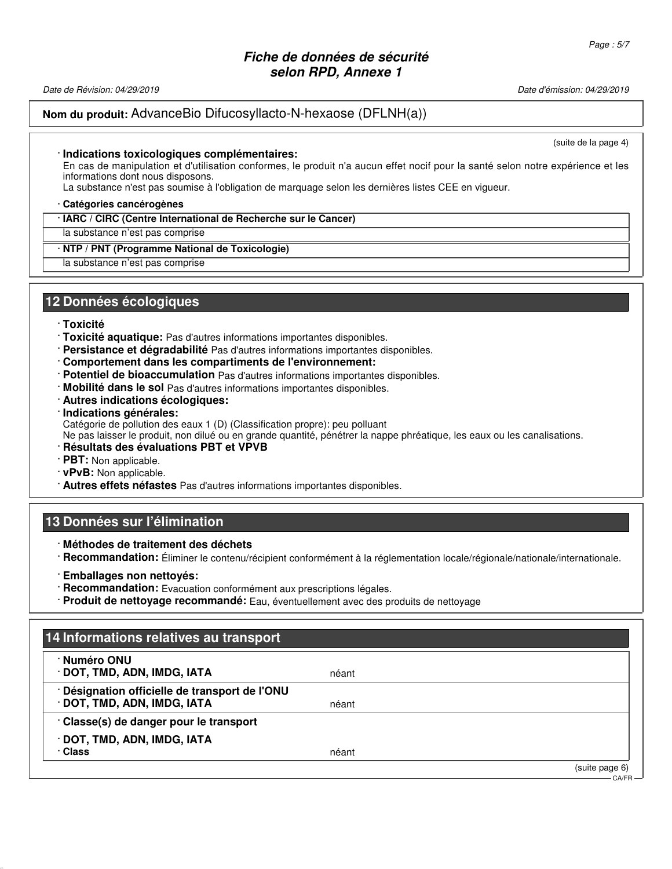Date de Révision: 04/29/2019 Date d'émission: 04/29/2019

## **Nom du produit:** AdvanceBio Difucosyllacto-N-hexaose (DFLNH(a))

(suite de la page 4)

#### · **Indications toxicologiques complémentaires:**

En cas de manipulation et d'utilisation conformes, le produit n'a aucun effet nocif pour la santé selon notre expérience et les informations dont nous disposons.

La substance n'est pas soumise à l'obligation de marquage selon les dernières listes CEE en vigueur.

#### · **Catégories cancérogènes**

#### · **IARC / CIRC (Centre International de Recherche sur le Cancer)**

la substance n'est pas comprise

#### · **NTP / PNT (Programme National de Toxicologie)**

la substance n'est pas comprise

#### **12 Données écologiques**

#### · **Toxicité**

- · **Toxicité aquatique:** Pas d'autres informations importantes disponibles.
- · **Persistance et dégradabilité** Pas d'autres informations importantes disponibles.
- · **Comportement dans les compartiments de l'environnement:**
- · **Potentiel de bioaccumulation** Pas d'autres informations importantes disponibles.
- · **Mobilité dans le sol** Pas d'autres informations importantes disponibles.
- · **Autres indications écologiques:**
- · **Indications générales:**
- Catégorie de pollution des eaux 1 (D) (Classification propre): peu polluant

Ne pas laisser le produit, non dilué ou en grande quantité, pénétrer la nappe phréatique, les eaux ou les canalisations.

- · **Résultats des évaluations PBT et VPVB**
- · **PBT:** Non applicable.
- · **vPvB:** Non applicable.
- · **Autres effets néfastes** Pas d'autres informations importantes disponibles.

## **13 Données sur l'élimination**

- · **Méthodes de traitement des déchets**
- · **Recommandation:** Éliminer le contenu/récipient conformément à la réglementation locale/régionale/nationale/internationale.
- · **Emballages non nettoyés:**
- · **Recommandation:** Evacuation conformément aux prescriptions légales.
- · **Produit de nettoyage recommandé:** Eau, éventuellement avec des produits de nettoyage

# **14 Informations relatives au transport**

| · Numéro ONU<br>· DOT, TMD, ADN, IMDG, IATA                                 | néant |                |
|-----------------------------------------------------------------------------|-------|----------------|
| Désignation officielle de transport de l'ONU<br>· DOT, TMD, ADN, IMDG, IATA | néant |                |
| Classe(s) de danger pour le transport                                       |       |                |
| · DOT, TMD, ADN, IMDG, IATA                                                 |       |                |
| <b>· Class</b>                                                              | néant |                |
|                                                                             |       | (suite page 6) |
|                                                                             |       | CA/FR-         |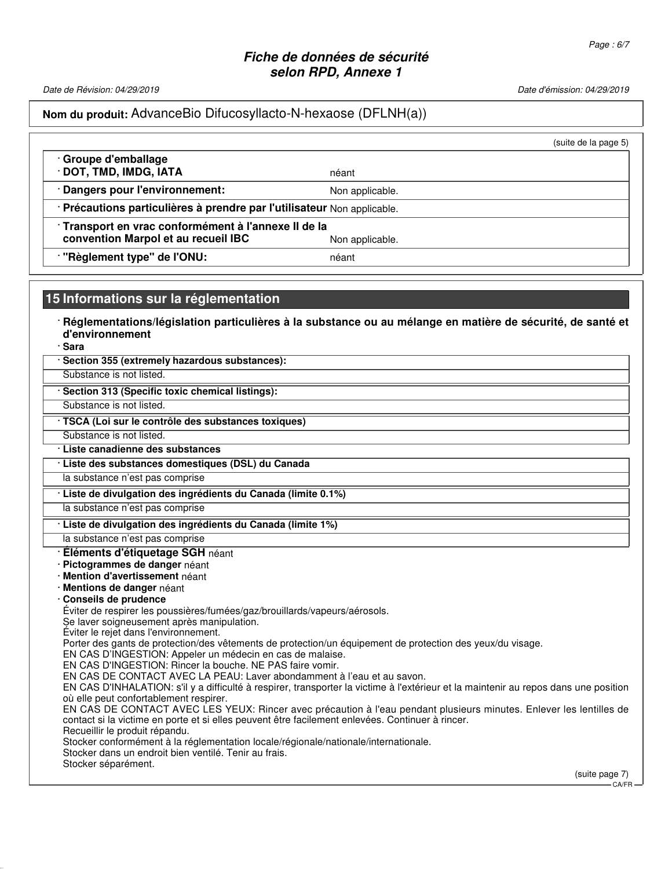Date de Révision: 04/29/2019 Date d'émission: 04/29/2019

#### **Nom du produit:** AdvanceBio Difucosyllacto-N-hexaose (DFLNH(a))

|                                                                       |                 | (suite de la page 5) |
|-----------------------------------------------------------------------|-----------------|----------------------|
| · Groupe d'emballage<br>DOT, TMD, IMDG, IATA                          | néant           |                      |
| Dangers pour l'environnement:                                         | Non applicable. |                      |
| Précautions particulières à prendre par l'utilisateur Non applicable. |                 |                      |
| Transport en vrac conformément à l'annexe II de la                    |                 |                      |
| convention Marpol et au recueil IBC                                   | Non applicable. |                      |
| "Règlement type" de l'ONU:                                            | néant           |                      |

#### **15 Informations sur la réglementation**

· **Réglementations/législation particulières à la substance ou au mélange en matière de sécurité, de santé et d'environnement**

· **Sara**

| · Section 355 (extremely hazardous substances): |  |  |  |  |
|-------------------------------------------------|--|--|--|--|
|-------------------------------------------------|--|--|--|--|

Substance is not listed. · **Section 313 (Specific toxic chemical listings):**

Substance is not listed.

· **TSCA (Loi sur le contrôle des substances toxiques)**

Substance is not listed.

· **Liste canadienne des substances**

· **Liste des substances domestiques (DSL) du Canada**

la substance n'est pas comprise

· **Liste de divulgation des ingrédients du Canada (limite 0.1%)**

la substance n'est pas comprise

#### · **Liste de divulgation des ingrédients du Canada (limite 1%)**

la substance n'est pas comprise

#### · **Éléments d'étiquetage SGH** néant

· **Pictogrammes de danger** néant

- · **Mention d'avertissement** néant
- · **Mentions de danger** néant
- · **Conseils de prudence**

Éviter de respirer les poussières/fumées/gaz/brouillards/vapeurs/aérosols.

Se laver soigneusement après manipulation.

Éviter le rejet dans l'environnement.

Porter des gants de protection/des vêtements de protection/un équipement de protection des yeux/du visage.

EN CAS D'INGESTION: Appeler un médecin en cas de malaise.

EN CAS D'INGESTION: Rincer la bouche. NE PAS faire vomir.

EN CAS DE CONTACT AVEC LA PEAU: Laver abondamment à l'eau et au savon.

EN CAS D'INHALATION: s'il y a difficulté à respirer, transporter la victime à l'extérieur et la maintenir au repos dans une position où elle peut confortablement respirer.

EN CAS DE CONTACT AVEC LES YEUX: Rincer avec précaution à l'eau pendant plusieurs minutes. Enlever les lentilles de contact si la victime en porte et si elles peuvent être facilement enlevées. Continuer à rincer. Recueillir le produit répandu.

Stocker conformément à la réglementation locale/régionale/nationale/internationale.

Stocker dans un endroit bien ventilé. Tenir au frais.

Stocker séparément.

(suite page 7)